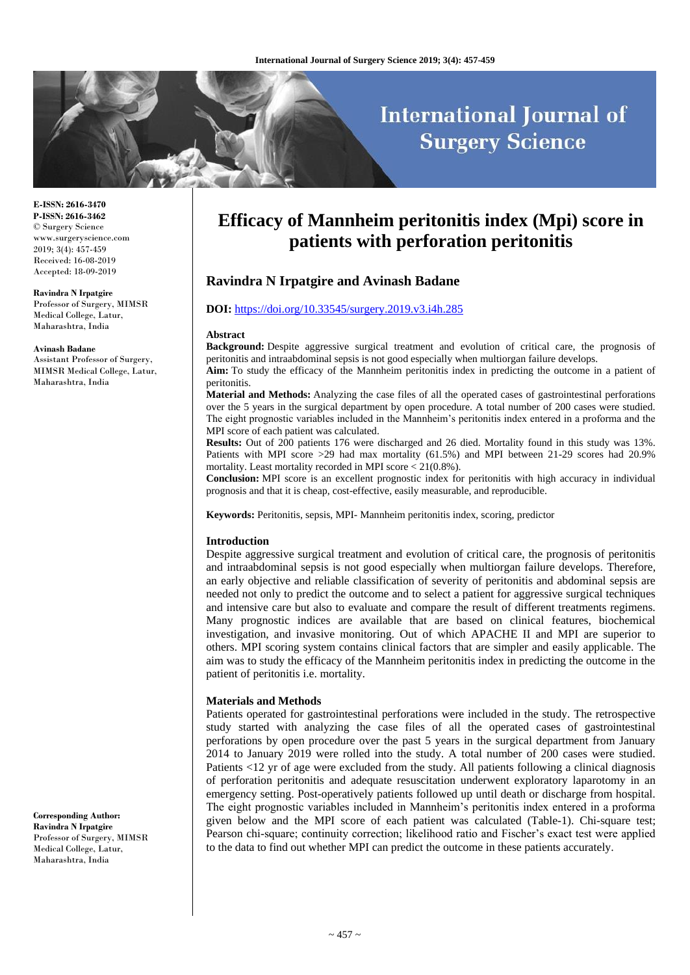# **International Journal of Surgery Science**

**E-ISSN: 2616-3470 P-ISSN: 2616-3462** © Surgery Science www.surgeryscience.com 2019; 3(4): 457-459 Received: 16-08-2019 Accepted: 18-09-2019

#### **Ravindra N Irpatgire**

Professor of Surgery, MIMSR Medical College, Latur, Maharashtra, India

#### **Avinash Badane**

Assistant Professor of Surgery, MIMSR Medical College, Latur, Maharashtra, India

**Corresponding Author: Ravindra N Irpatgire** Professor of Surgery, MIMSR Medical College, Latur, Maharashtra, India

## **Efficacy of Mannheim peritonitis index (Mpi) score in patients with perforation peritonitis**

## **Ravindra N Irpatgire and Avinash Badane**

#### **DOI:** <https://doi.org/10.33545/surgery.2019.v3.i4h.285>

#### **Abstract**

**Background:** Despite aggressive surgical treatment and evolution of critical care, the prognosis of peritonitis and intraabdominal sepsis is not good especially when multiorgan failure develops.

**Aim:** To study the efficacy of the Mannheim peritonitis index in predicting the outcome in a patient of peritonitis.

**Material and Methods:** Analyzing the case files of all the operated cases of gastrointestinal perforations over the 5 years in the surgical department by open procedure. A total number of 200 cases were studied. The eight prognostic variables included in the Mannheim's peritonitis index entered in a proforma and the MPI score of each patient was calculated.

**Results:** Out of 200 patients 176 were discharged and 26 died. Mortality found in this study was 13%. Patients with MPI score >29 had max mortality (61.5%) and MPI between 21-29 scores had 20.9% mortality. Least mortality recorded in MPI score < 21(0.8%).

**Conclusion:** MPI score is an excellent prognostic index for peritonitis with high accuracy in individual prognosis and that it is cheap, cost-effective, easily measurable, and reproducible.

**Keywords:** Peritonitis, sepsis, MPI- Mannheim peritonitis index, scoring, predictor

#### **Introduction**

Despite aggressive surgical treatment and evolution of critical care, the prognosis of peritonitis and intraabdominal sepsis is not good especially when multiorgan failure develops. Therefore, an early objective and reliable classification of severity of peritonitis and abdominal sepsis are needed not only to predict the outcome and to select a patient for aggressive surgical techniques and intensive care but also to evaluate and compare the result of different treatments regimens. Many prognostic indices are available that are based on clinical features, biochemical investigation, and invasive monitoring. Out of which APACHE II and MPI are superior to others. MPI scoring system contains clinical factors that are simpler and easily applicable. The aim was to study the efficacy of the Mannheim peritonitis index in predicting the outcome in the patient of peritonitis i.e. mortality.

#### **Materials and Methods**

Patients operated for gastrointestinal perforations were included in the study. The retrospective study started with analyzing the case files of all the operated cases of gastrointestinal perforations by open procedure over the past 5 years in the surgical department from January 2014 to January 2019 were rolled into the study. A total number of 200 cases were studied. Patients <12 yr of age were excluded from the study. All patients following a clinical diagnosis of perforation peritonitis and adequate resuscitation underwent exploratory laparotomy in an emergency setting. Post-operatively patients followed up until death or discharge from hospital. The eight prognostic variables included in Mannheim's peritonitis index entered in a proforma given below and the MPI score of each patient was calculated (Table-1). Chi-square test; Pearson chi-square; continuity correction; likelihood ratio and Fischer's exact test were applied to the data to find out whether MPI can predict the outcome in these patients accurately.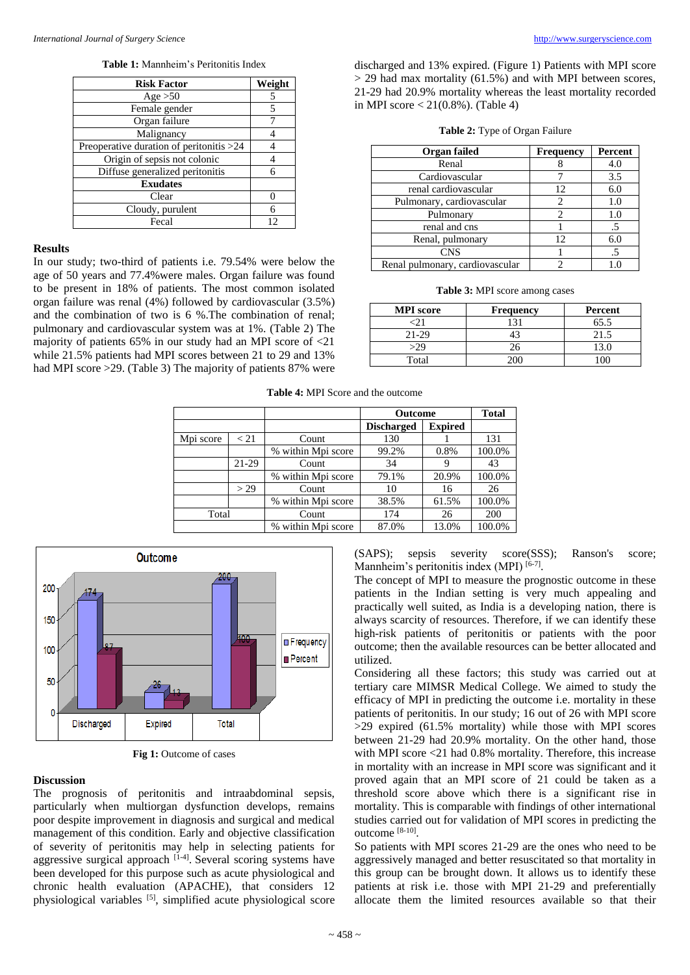**Table 1:** Mannheim's Peritonitis Index

| <b>Risk Factor</b>                       | Weight |
|------------------------------------------|--------|
| Age $>50$                                | 5      |
| Female gender                            | 5      |
| Organ failure                            |        |
| Malignancy                               |        |
| Preoperative duration of peritonitis >24 |        |
| Origin of sepsis not colonic             |        |
| Diffuse generalized peritonitis          | 6      |
| <b>Exudates</b>                          |        |
| Clear                                    |        |
| Cloudy, purulent                         | 6      |
| Fecal                                    | 12     |

## **Results**

In our study; two-third of patients i.e. 79.54% were below the age of 50 years and 77.4%were males. Organ failure was found to be present in 18% of patients. The most common isolated organ failure was renal (4%) followed by cardiovascular (3.5%) and the combination of two is 6 %.The combination of renal; pulmonary and cardiovascular system was at 1%. (Table 2) The majority of patients 65% in our study had an MPI score of <21 while 21.5% patients had MPI scores between 21 to 29 and 13% had MPI score > 29. (Table 3) The majority of patients 87% were

discharged and 13% expired. (Figure 1) Patients with MPI score  $>$  29 had max mortality (61.5%) and with MPI between scores, 21-29 had 20.9% mortality whereas the least mortality recorded in MPI score < 21(0.8%). (Table 4)

| Organ failed                    | <b>Frequency</b> | Percent |  |
|---------------------------------|------------------|---------|--|
| Renal                           |                  | 4.0     |  |
| Cardiovascular                  |                  | 3.5     |  |
| renal cardiovascular            | 12               | 6.0     |  |
| Pulmonary, cardiovascular       | 2                | 1.0     |  |
| Pulmonary                       |                  | 1.0     |  |
| renal and cns                   |                  | .5      |  |
| Renal, pulmonary                | 12 <sup>2</sup>  | 6.0     |  |
| <b>CNS</b>                      |                  | .5      |  |
| Renal pulmonary, cardiovascular |                  |         |  |

**Table 3:** MPI score among cases

| <b>MPI</b> score | <b>Frequency</b> | Percent |
|------------------|------------------|---------|
|                  |                  | 65.5    |
| 21-29            |                  | 21.5    |
| >29              | 26               | 13.0    |
| Total            |                  |         |

#### **Table 4:** MPI Score and the outcome

|           |         |                    | <b>Outcome</b>    |                | <b>Total</b> |
|-----------|---------|--------------------|-------------------|----------------|--------------|
|           |         |                    | <b>Discharged</b> | <b>Expired</b> |              |
| Mpi score | < 21    | Count              | 130               |                | 131          |
|           |         | % within Mpi score | 99.2%             | 0.8%           | 100.0%       |
|           | $21-29$ | Count              | 34                |                | 43           |
|           |         | % within Mpi score | 79.1%             | 20.9%          | 100.0%       |
|           | > 29    | Count              | 10                | 16             | 26           |
|           |         | % within Mpi score | 38.5%             | 61.5%          | 100.0%       |
| Total     |         | Count              | 174               | 26             | 200          |
|           |         | % within Mpi score | 87.0%             | 13.0%          | 100.0%       |





## **Discussion**

The prognosis of peritonitis and intraabdominal sepsis, particularly when multiorgan dysfunction develops, remains poor despite improvement in diagnosis and surgical and medical management of this condition. Early and objective classification of severity of peritonitis may help in selecting patients for aggressive surgical approach  $[1-4]$ . Several scoring systems have been developed for this purpose such as acute physiological and chronic health evaluation (APACHE), that considers 12 physiological variables [5], simplified acute physiological score (SAPS); sepsis severity score(SSS); Ranson's score; Mannheim's peritonitis index (MPI)<sup>[6-7]</sup>.

The concept of MPI to measure the prognostic outcome in these patients in the Indian setting is very much appealing and practically well suited, as India is a developing nation, there is always scarcity of resources. Therefore, if we can identify these high-risk patients of peritonitis or patients with the poor outcome; then the available resources can be better allocated and utilized.

Considering all these factors; this study was carried out at tertiary care MIMSR Medical College. We aimed to study the efficacy of MPI in predicting the outcome i.e. mortality in these patients of peritonitis. In our study; 16 out of 26 with MPI score >29 expired (61.5% mortality) while those with MPI scores between 21-29 had 20.9% mortality. On the other hand, those with MPI score <21 had 0.8% mortality. Therefore, this increase in mortality with an increase in MPI score was significant and it proved again that an MPI score of 21 could be taken as a threshold score above which there is a significant rise in mortality. This is comparable with findings of other international studies carried out for validation of MPI scores in predicting the outcome [8-10] .

So patients with MPI scores 21-29 are the ones who need to be aggressively managed and better resuscitated so that mortality in this group can be brought down. It allows us to identify these patients at risk i.e. those with MPI 21-29 and preferentially allocate them the limited resources available so that their